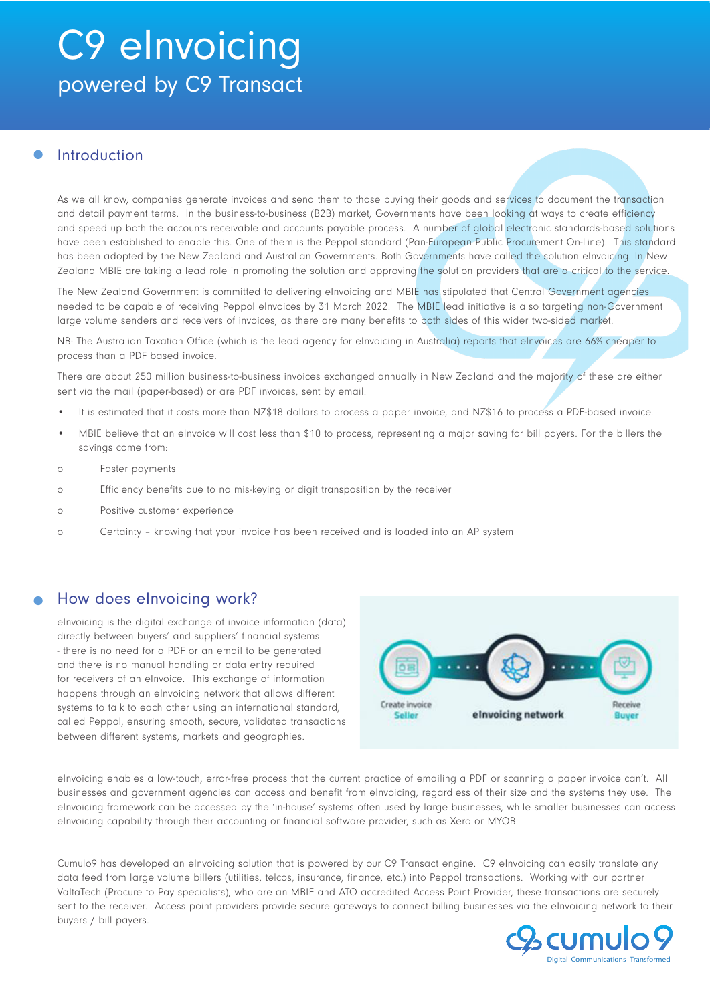# C9 eInvoicing powered by C9 Transact

## Introduction

As we all know, companies generate invoices and send them to those buying their goods and services to document the transaction and detail payment terms. In the business-to-business (B2B) market, Governments have been looking at ways to create efficiency and speed up both the accounts receivable and accounts payable process. A number of global electronic standards-based solutions have been established to enable this. One of them is the Peppol standard (Pan-European Public Procurement On-Line). This standard has been adopted by the New Zealand and Australian Governments. Both Governments have called the solution eInvoicing. In New Zealand MBIE are taking a lead role in promoting the solution and approving the solution providers that are a critical to the service.

The New Zealand Government is committed to delivering eInvoicing and MBIE has stipulated that Central Government agencies needed to be capable of receiving Peppol eInvoices by 31 March 2022. The MBIE lead initiative is also targeting non-Government large volume senders and receivers of invoices, as there are many benefits to both sides of this wider two-sided market.

NB: The Australian Taxation Office (which is the lead agency for eInvoicing in Australia) reports that eInvoices are 66% cheaper to process than a PDF based invoice.

There are about 250 million business-to-business invoices exchanged annually in New Zealand and the majority of these are either sent via the mail (paper-based) or are PDF invoices, sent by email.

- It is estimated that it costs more than NZ\$18 dollars to process a paper invoice, and NZ\$16 to process a PDF-based invoice.
- MBIE believe that an eInvoice will cost less than \$10 to process, representing a major saving for bill payers. For the billers the savings come from:
- o Faster payments
- o Efficiency benefits due to no mis-keying or digit transposition by the receiver
- o Positive customer experience
- o Certainty knowing that your invoice has been received and is loaded into an AP system

## How does eInvoicing work?

eInvoicing is the digital exchange of invoice information (data) directly between buyers' and suppliers' financial systems - there is no need for a PDF or an email to be generated and there is no manual handling or data entry required for receivers of an eInvoice. This exchange of information happens through an eInvoicing network that allows different systems to talk to each other using an international standard, called Peppol, ensuring smooth, secure, validated transactions between different systems, markets and geographies.



eInvoicing enables a low-touch, error-free process that the current practice of emailing a PDF or scanning a paper invoice can't. All businesses and government agencies can access and benefit from eInvoicing, regardless of their size and the systems they use. The eInvoicing framework can be accessed by the 'in-house' systems often used by large businesses, while smaller businesses can access eInvoicing capability through their accounting or financial software provider, such as Xero or MYOB.

Cumulo9 has developed an eInvoicing solution that is powered by our C9 Transact engine. C9 eInvoicing can easily translate any data feed from large volume billers (utilities, telcos, insurance, finance, etc.) into Peppol transactions. Working with our partner ValtaTech (Procure to Pay specialists), who are an MBIE and ATO accredited Access Point Provider, these transactions are securely sent to the receiver. Access point providers provide secure gateways to connect billing businesses via the eInvoicing network to their buyers / bill payers.

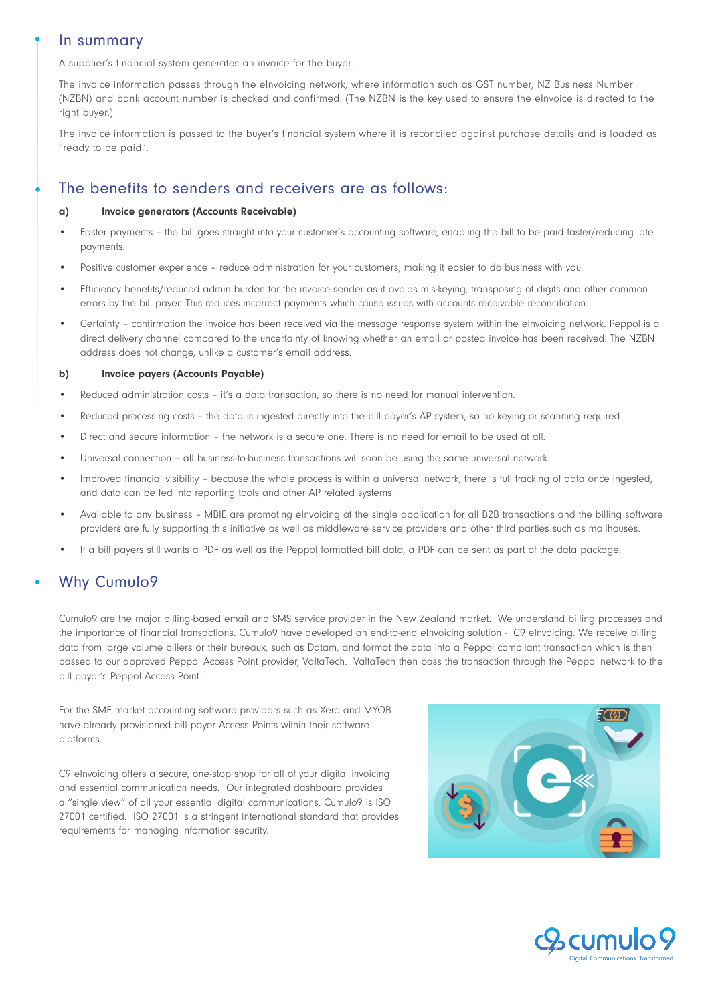### In summary

A supplier's financial system generates an invoice for the buyer.

The invoice information passes through the eInvoicing network, where information such as GST number, NZ Business Number (NZBN) and bank account number is checked and confirmed. (The NZBN is the key used to ensure the eInvoice is directed to the right buyer.)

The invoice information is passed to the buyer's financial system where it is reconciled against purchase details and is loaded as "ready to be paid".

## The benefits to senders and receivers are as follows:

#### a) Invoice generators (Accounts Receivable)

- Faster payments the bill goes straight into your customer's accounting software, enabling the bill to be paid faster/reducing late payments.
- Positive customer experience reduce administration for your customers, making it easier to do business with you.
- Efficiency benefits/reduced admin burden for the invoice sender as it avoids mis-keying, transposing of digits and other common errors by the bill payer. This reduces incorrect payments which cause issues with accounts receivable reconciliation.
- Certainty confirmation the invoice has been received via the message response system within the eInvoicing network. Peppol is a direct delivery channel compared to the uncertainty of knowing whether an email or posted invoice has been received. The NZBN address does not change, unlike a customer's email address.

#### b) Invoice payers (Accounts Payable)

- Reduced administration costs it's a data transaction, so there is no need for manual intervention.
- Reduced processing costs the data is ingested directly into the bill payer's AP system, so no keying or scanning required.
- Direct and secure information the network is a secure one. There is no need for email to be used at all.
- Universal connection all business-to-business transactions will soon be using the same universal network.
- Improved financial visibility because the whole process is within a universal network, there is full tracking of data once ingested, and data can be fed into reporting tools and other AP related systems.
- Available to any business MBIE are promoting eInvoicing at the single application for all B2B transactions and the billing software providers are fully supporting this initiative as well as middleware service providers and other third parties such as mailhouses.
- If a bill payers still wants a PDF as well as the Peppol formatted bill data, a PDF can be sent as part of the data package.

# Why Cumulo9

Cumulo9 are the major billing-based email and SMS service provider in the New Zealand market. We understand billing processes and the importance of financial transactions. Cumulo9 have developed an end-to-end eInvoicing solution - C9 eInvoicing. We receive billing data from large volume billers or their bureaux, such as Datam, and format the data into a Peppol compliant transaction which is then passed to our approved Peppol Access Point provider, ValtaTech. ValtaTech then pass the transaction through the Peppol network to the bill payer's Peppol Access Point.

For the SME market accounting software providers such as Xero and MYOB have already provisioned bill payer Access Points within their software platforms.

C9 eInvoicing offers a secure, one-stop shop for all of your digital invoicing and essential communication needs. Our integrated dashboard provides a "single view" of all your essential digital communications. Cumulo9 is ISO 27001 certified. ISO 27001 is a stringent international standard that provides requirements for managing information security.